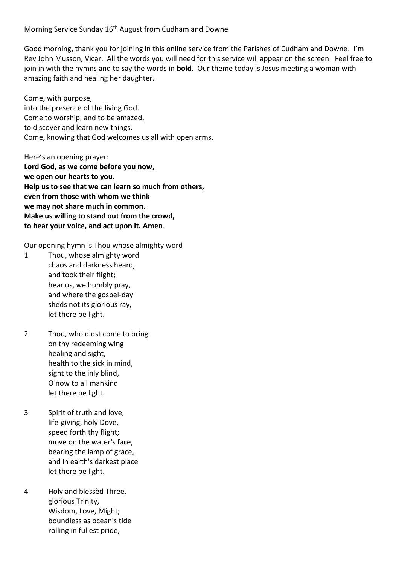Morning Service Sunday 16<sup>th</sup> August from Cudham and Downe

Good morning, thank you for joining in this online service from the Parishes of Cudham and Downe. I'm Rev John Musson, Vicar. All the words you will need for this service will appear on the screen. Feel free to join in with the hymns and to say the words in **bold**. Our theme today is Jesus meeting a woman with amazing faith and healing her daughter.

Come, with purpose, into the presence of the living God. Come to worship, and to be amazed, to discover and learn new things. Come, knowing that God welcomes us all with open arms.

Here's an opening prayer: **Lord God, as we come before you now, we open our hearts to you. Help us to see that we can learn so much from others, even from those with whom we think we may not share much in common. Make us willing to stand out from the crowd, to hear your voice, and act upon it. Amen**.

Our opening hymn is Thou whose almighty word

- 1 Thou, whose almighty word chaos and darkness heard, and took their flight; hear us, we humbly pray, and where the gospel-day sheds not its glorious ray, let there be light.
- 2 Thou, who didst come to bring on thy redeeming wing healing and sight, health to the sick in mind, sight to the inly blind, O now to all mankind let there be light.
- 3 Spirit of truth and love, life-giving, holy Dove, speed forth thy flight; move on the water's face, bearing the lamp of grace, and in earth's darkest place let there be light.
- 4 Holy and blessèd Three, glorious Trinity, Wisdom, Love, Might; boundless as ocean's tide rolling in fullest pride,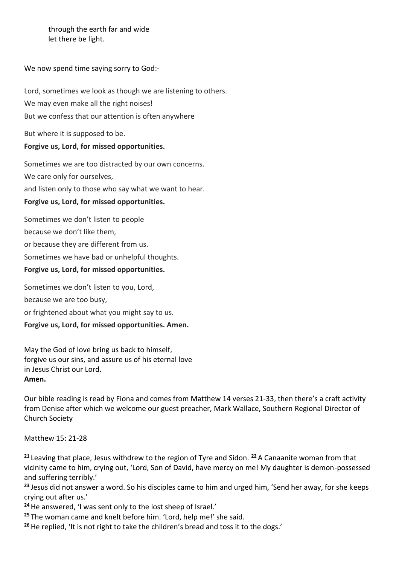through the earth far and wide let there be light.

We now spend time saying sorry to God:-

Lord, sometimes we look as though we are listening to others. We may even make all the right noises! But we confess that our attention is often anywhere

But where it is supposed to be.

## **Forgive us, Lord, for missed opportunities.**

Sometimes we are too distracted by our own concerns. We care only for ourselves, and listen only to those who say what we want to hear.

## **Forgive us, Lord, for missed opportunities.**

Sometimes we don't listen to people because we don't like them, or because they are different from us. Sometimes we have bad or unhelpful thoughts. **Forgive us, Lord, for missed opportunities.** Sometimes we don't listen to you, Lord,

because we are too busy,

or frightened about what you might say to us.

## **Forgive us, Lord, for missed opportunities. Amen.**

May the God of love bring us back to himself, forgive us our sins, and assure us of his eternal love in Jesus Christ our Lord. **Amen.**

Our bible reading is read by Fiona and comes from Matthew 14 verses 21-33, then there's a craft activity from Denise after which we welcome our guest preacher, Mark Wallace, Southern Regional Director of Church Society

Matthew 15: 21-28

**<sup>21</sup>** Leaving that place, Jesus withdrew to the region of Tyre and Sidon. **<sup>22</sup>** A Canaanite woman from that vicinity came to him, crying out, 'Lord, Son of David, have mercy on me! My daughter is demon-possessed and suffering terribly.'

**<sup>23</sup>** Jesus did not answer a word. So his disciples came to him and urged him, 'Send her away, for she keeps crying out after us.'

**<sup>24</sup>**He answered, 'I was sent only to the lost sheep of Israel.'

**<sup>25</sup>** The woman came and knelt before him. 'Lord, help me!' she said.

**<sup>26</sup>**He replied, 'It is not right to take the children's bread and toss it to the dogs.'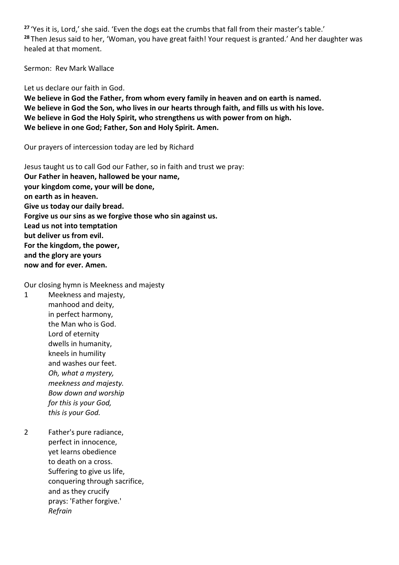**<sup>27</sup>** 'Yes it is, Lord,' she said. 'Even the dogs eat the crumbs that fall from their master's table.' **<sup>28</sup>** Then Jesus said to her, 'Woman, you have great faith! Your request is granted.' And her daughter was healed at that moment.

Sermon: Rev Mark Wallace

Let us declare our faith in God.

**We believe in God the Father, from whom every family in heaven and on earth is named. We believe in God the Son, who lives in our hearts through faith, and fills us with his love. We believe in God the Holy Spirit, who strengthens us with power from on high. We believe in one God; Father, Son and Holy Spirit. Amen.**

Our prayers of intercession today are led by Richard

Jesus taught us to call God our Father, so in faith and trust we pray: **Our Father in heaven, hallowed be your name, your kingdom come, your will be done, on earth as in heaven. Give us today our daily bread. Forgive us our sins as we forgive those who sin against us. Lead us not into temptation but deliver us from evil. For the kingdom, the power, and the glory are yours now and for ever. Amen.**

Our closing hymn is Meekness and majesty

1 Meekness and majesty, manhood and deity, in perfect harmony, the Man who is God. Lord of eternity dwells in humanity, kneels in humility and washes our feet. *Oh, what a mystery, meekness and majesty. Bow down and worship for this is your God, this is your God.*

2 Father's pure radiance, perfect in innocence, yet learns obedience to death on a cross. Suffering to give us life, conquering through sacrifice, and as they crucify prays: 'Father forgive.' *Refrain*